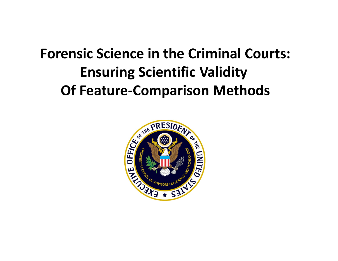# **Forensic Science in the Criminal Courts: Ensuring Scientific Validity Of Feature‐Comparison Methods**

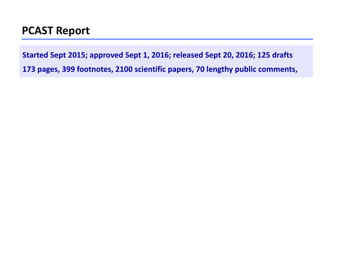#### **PCAST Report**

**Started Sept 2015; approved Sept 1, 2016; released Sept 20, 2016; 125 drafts**

**173 pages, 399 footnotes, 2100 scientific papers, 70 lengthy public comments,**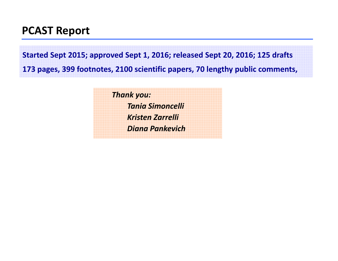#### **PCAST Report**

**Started Sept 2015; approved Sept 1, 2016; released Sept 20, 2016; 125 drafts**

**173 pages, 399 footnotes, 2100 scientific papers, 70 lengthy public comments,**

*Thank you: Tania Simoncelli Kristen Zarrelli Diana Pankevich*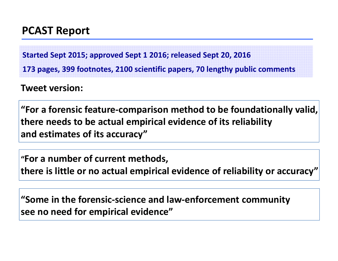### **PCAST Report**

**Started Sept 2015; approved Sept 1 2016; released Sept 20, 2016**

**173 pages, 399 footnotes, 2100 scientific papers, 70 lengthy public comments**

**Tweet version:**

**"For a forensic feature‐comparison method to be foundationally valid, there needs to be actual empirical evidence of its reliability and estimates of its accuracy"**

**"For a number of current methods, there is little or no actual empirical evidence of reliability or accuracy"**

**"Some in the forensic‐science and law‐enforcement community see no need for empirical evidence"**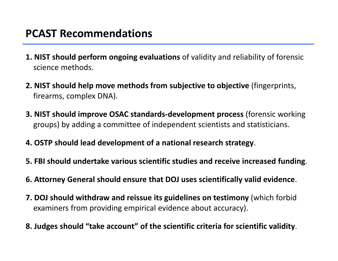#### **PCAST Recommendations**

- **1. NIST should perform ongoing evaluations** of validity and reliability of forensic science methods.
- **2. NIST should help move methods from subjective to objective** (fingerprints, firearms, complex DNA).
- **3. NIST should improve OSAC standards‐development process** (forensic working groups) by adding <sup>a</sup> committee of independent scientists and statisticians.
- **4. OSTP should lead development of <sup>a</sup> national research strategy**.
- **5. FBI should undertake various scientific studies and receive increased funding**.
- **6. Attorney General should ensure that DOJ uses scientifically valid evidence**.
- **7. DOJ should withdraw and reissue its guidelines on testimony** (which forbid examiners from providing empirical evidence about accuracy).
- **8. Judges should "take account" of the scientific criteria for scientific validity**.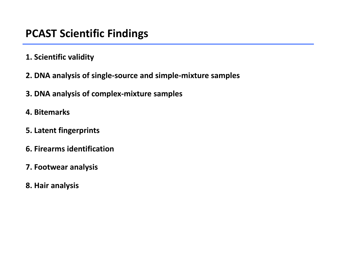#### **PCAST Scientific Findings**

- **1. Scientific validity**
- **2. DNA analysis of single‐source and simple‐mixture samples**
- **3. DNA analysis of complex‐mixture samples**
- **4. Bitemarks**
- **5. Latent fingerprints**
- **6. Firearms identification**
- **7. Footwear analysis**
- **8. Hair analysis**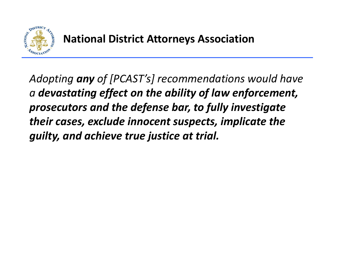

*Adopting any of [PCAST's] recommendations would have a devastating effect on the ability of law enforcement, prosecutors and the defense bar, to fully investigate their cases, exclude innocent suspects, implicate the guilty, and achieve true justice at trial.*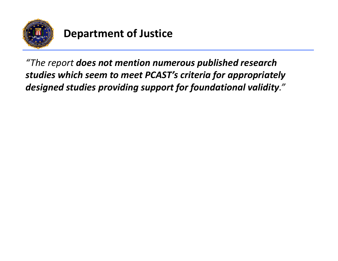

## **Department of Justice**

*"The report does not mention numerous published research studies which seem to meet PCAST's criteria for appropriately designed studies providing support for foundational validity."*